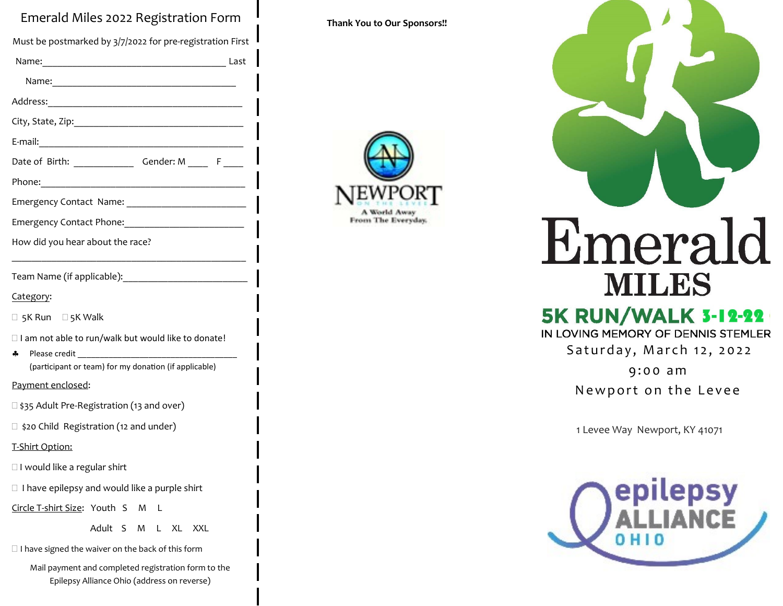## Emerald Miles 2022 Registration Form

Must be postmarked by 3/7/2022 for pre-registration First Name:\_\_\_\_\_\_\_\_\_\_\_\_\_\_\_\_\_\_\_\_\_\_\_\_\_\_\_\_\_\_\_\_\_\_\_\_\_ Last Name:\_\_\_\_\_\_\_\_\_\_\_\_\_\_\_\_\_\_\_\_\_\_\_\_\_\_\_\_\_\_\_\_\_\_\_\_\_ Address:\_\_\_\_\_\_\_\_\_\_\_\_\_\_\_\_\_\_\_\_\_\_\_\_\_\_\_\_\_\_\_\_\_\_\_\_\_\_\_ City, State, Zip:\_\_\_\_\_\_\_\_\_\_\_\_\_\_\_\_\_\_\_\_\_\_\_\_\_\_\_\_\_\_\_\_\_\_ E-mail: Date of Birth: Gender: M \_\_\_\_ F Phone: Emergency Contact Name: Emergency Contact Phone: How did you hear about the race? \_\_\_\_\_\_\_\_\_\_\_\_\_\_\_\_\_\_\_\_\_\_\_\_\_\_\_\_\_\_\_\_\_\_\_\_\_\_\_\_\_\_\_\_\_\_\_ Team Name (if applicable):\_\_\_\_\_\_\_\_\_\_\_\_\_\_\_\_\_\_\_\_\_\_\_\_\_ Category:  $\Box$  5K Run  $\Box$  5K Walk  $\Box$  I am not able to run/walk but would like to donate!  $\clubsuit$  Please credit (participant or team) for my donation (if applicable) Payment enclosed: □ \$35 Adult Pre-Registration (13 and over) □ \$20 Child Registration (12 and under) T-Shirt Option:  $\Box$  I would like a regular shirt  $\Box$  I have epilepsy and would like a purple shirt Circle T-shirt Size: Youth S M L Adult S M L XL XXL  $\Box$  I have signed the waiver on the back of this form Mail payment and completed registration form to the Epilepsy Alliance Ohio (address on reverse)

**Thank You to Our Sponsors!!**











**WNS** Therapy®

Emerald **MILES** 

# **5K RUN/WALK 3-12-22**

IN LOVING MEMORY OF DENNIS STEMLER

Saturday, March 12, 2022

9:00 am

Newport on the Levee

1 Levee Way Newport, KY 41071